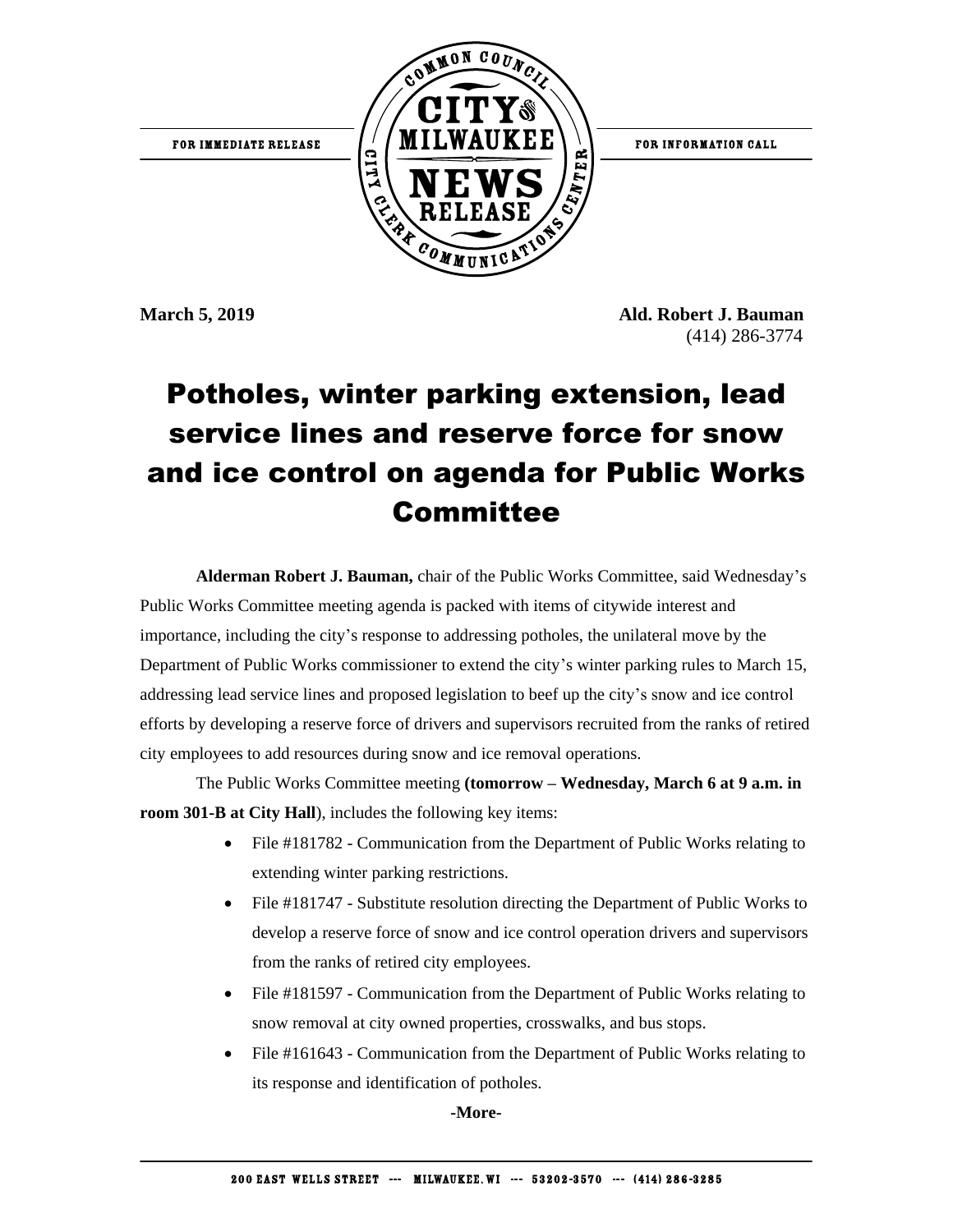

**March 5, 2019 Ald. Robert J. Bauman** (414) 286-3774

## Potholes, winter parking extension, lead service lines and reserve force for snow and ice control on agenda for Public Works **Committee**

**Alderman Robert J. Bauman,** chair of the Public Works Committee, said Wednesday's Public Works Committee meeting agenda is packed with items of citywide interest and importance, including the city's response to addressing potholes, the unilateral move by the Department of Public Works commissioner to extend the city's winter parking rules to March 15, addressing lead service lines and proposed legislation to beef up the city's snow and ice control efforts by developing a reserve force of drivers and supervisors recruited from the ranks of retired city employees to add resources during snow and ice removal operations.

The Public Works Committee meeting **(tomorrow – Wednesday, March 6 at 9 a.m. in room 301-B at City Hall**), includes the following key items:

- File #181782 Communication from the Department of Public Works relating to extending winter parking restrictions.
- File #181747 Substitute resolution directing the Department of Public Works to develop a reserve force of snow and ice control operation drivers and supervisors from the ranks of retired city employees.
- File #181597 Communication from the Department of Public Works relating to snow removal at city owned properties, crosswalks, and bus stops.
- File #161643 Communication from the Department of Public Works relating to its response and identification of potholes.

**-More-**